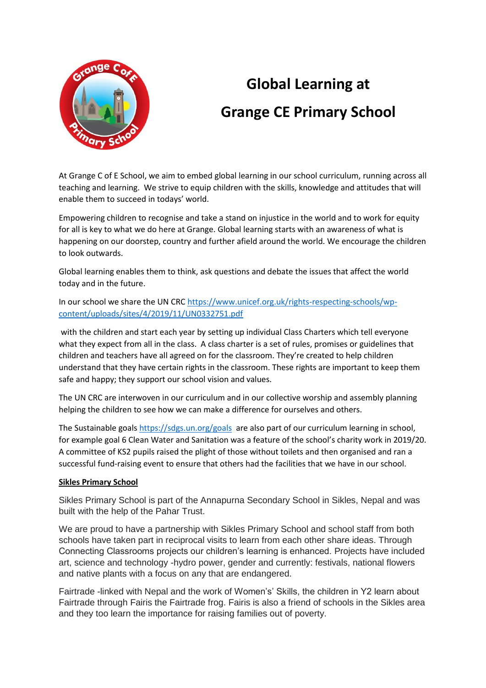

## **Global Learning at Grange CE Primary School**

At Grange C of E School, we aim to embed global learning in our school curriculum, running across all teaching and learning. We strive to equip children with the skills, knowledge and attitudes that will enable them to succeed in todays' world.

Empowering children to recognise and take a stand on injustice in the world and to work for equity for all is key to what we do here at Grange. Global learning starts with an awareness of what is happening on our doorstep, country and further afield around the world. We encourage the children to look outwards.

Global learning enables them to think, ask questions and debate the issues that affect the world today and in the future.

In our school we share the UN CRC [https://www.unicef.org.uk/rights-respecting-schools/wp](https://www.unicef.org.uk/rights-respecting-schools/wp-content/uploads/sites/4/2019/11/UN0332751.pdf)[content/uploads/sites/4/2019/11/UN0332751.pdf](https://www.unicef.org.uk/rights-respecting-schools/wp-content/uploads/sites/4/2019/11/UN0332751.pdf)

with the children and start each year by setting up individual Class Charters which tell everyone what they expect from all in the class. A class charter is a set of rules, promises or guidelines that children and teachers have all agreed on for the classroom. They're created to help children understand that they have certain rights in the classroom. These rights are important to keep them safe and happy; they support our school vision and values.

The UN CRC are interwoven in our curriculum and in our collective worship and assembly planning helping the children to see how we can make a difference for ourselves and others.

The Sustainable goal[s https://sdgs.un.org/goals](https://sdgs.un.org/goals) are also part of our curriculum learning in school, for example goal 6 Clean Water and Sanitation was a feature of the school's charity work in 2019/20. A committee of KS2 pupils raised the plight of those without toilets and then organised and ran a successful fund-raising event to ensure that others had the facilities that we have in our school.

## **Sikles Primary School**

Sikles Primary School is part of the Annapurna Secondary School in Sikles, Nepal and was built with the help of the Pahar Trust.

We are proud to have a partnership with Sikles Primary School and school staff from both schools have taken part in reciprocal visits to learn from each other share ideas. Through Connecting Classrooms projects our children's learning is enhanced. Projects have included art, science and technology -hydro power, gender and currently: festivals, national flowers and native plants with a focus on any that are endangered.

Fairtrade -linked with Nepal and the work of Women's' Skills, the children in Y2 learn about Fairtrade through Fairis the Fairtrade frog. Fairis is also a friend of schools in the Sikles area and they too learn the importance for raising families out of poverty.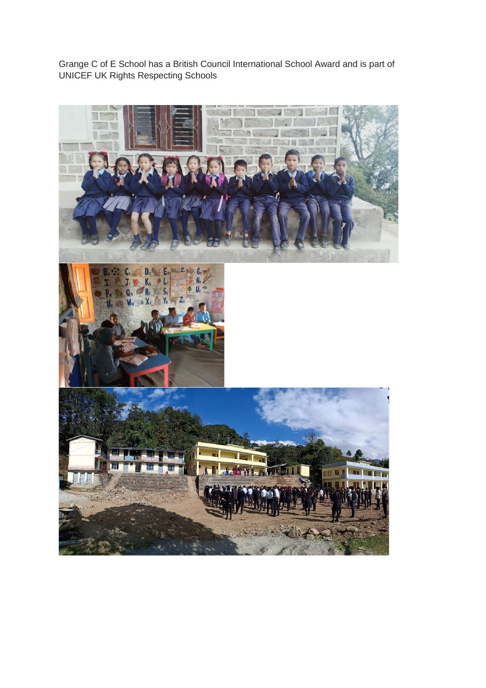Grange C of E School has a British Council International School Award and is part of UNICEF UK Rights Respecting Schools